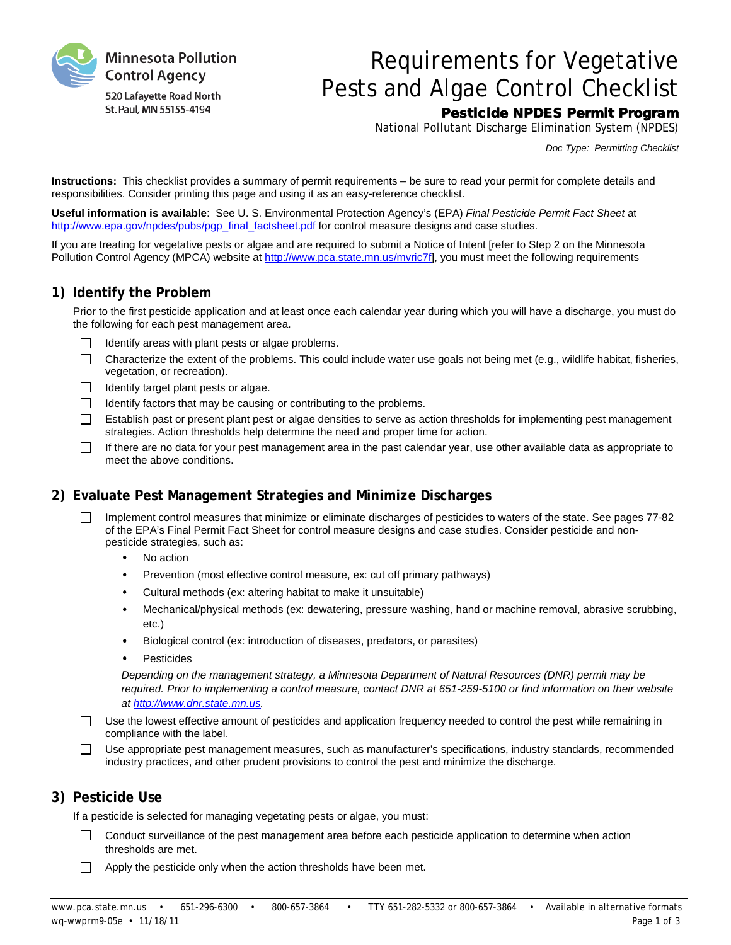

# Requirements for Vegetative Pests and Algae Control Checklist Pesticide NPDES Permit Program

National Pollutant Discharge Elimination System (NPDES)

*Doc Type: Permitting Checklist*

**Instructions:** This checklist provides a summary of permit requirements – be sure to read your permit for complete details and responsibilities. Consider printing this page and using it as an easy-reference checklist.

**Useful information is available**: See U. S. Environmental Protection Agency's (EPA) *Final Pesticide Permit Fact Sheet* at [http://www.epa.gov/npdes/pubs/pgp\\_final\\_factsheet.pdf](http://www.epa.gov/npdes/pubs/pgp_final_factsheet.pdf) for control measure designs and case studies.

If you are treating for vegetative pests or algae and are required to submit a Notice of Intent [refer to Step 2 on the Minnesota Pollution Control Agency (MPCA) website at [http://www.pca.state.mn.us/mvric7f\],](http://www.pca.state.mn.us/mvric7f) you must meet the following requirements

#### **1) Identify the Problem**

Prior to the first pesticide application and at least once each calendar year during which you will have a discharge, you must do the following for each pest management area.

- $\Box$ Identify areas with plant pests or algae problems.
- $\Box$ Characterize the extent of the problems. This could include water use goals not being met (e.g., wildlife habitat, fisheries, vegetation, or recreation).
- $\Box$  Identify target plant pests or algae.
- Identify factors that may be causing or contributing to the problems.  $\Box$
- m. Establish past or present plant pest or algae densities to serve as action thresholds for implementing pest management strategies. Action thresholds help determine the need and proper time for action.
- $\Box$ If there are no data for your pest management area in the past calendar year, use other available data as appropriate to meet the above conditions.

# **2) Evaluate Pest Management Strategies and Minimize Discharges**

- Implement control measures that minimize or eliminate discharges of pesticides to waters of the state. See pages 77-82  $\Box$ of the EPA's Final Permit Fact Sheet for control measure designs and case studies. Consider pesticide and nonpesticide strategies, such as:
	- No action
	- · Prevention (most effective control measure, ex: cut off primary pathways)
	- Cultural methods (ex: altering habitat to make it unsuitable)
	- · Mechanical/physical methods (ex: dewatering, pressure washing, hand or machine removal, abrasive scrubbing, etc.)
	- Biological control (ex: introduction of diseases, predators, or parasites)
	- **Pesticides**

*Depending on the management strategy, a Minnesota Department of Natural Resources (DNR) permit may be*  required. Prior to implementing a control measure, contact DNR at 651-259-5100 or find information on their website *a[t http://www.dnr.state.mn.us.](http://www.dnr.state.mn.us/)*

- Use the lowest effective amount of pesticides and application frequency needed to control the pest while remaining in  $\Box$ compliance with the label.
- Use appropriate pest management measures, such as manufacturer's specifications, industry standards, recommended industry practices, and other prudent provisions to control the pest and minimize the discharge.

# **3) Pesticide Use**

If a pesticide is selected for managing vegetating pests or algae, you must:

- $\Box$ Conduct surveillance of the pest management area before each pesticide application to determine when action thresholds are met.
- $\Box$ Apply the pesticide only when the action thresholds have been met.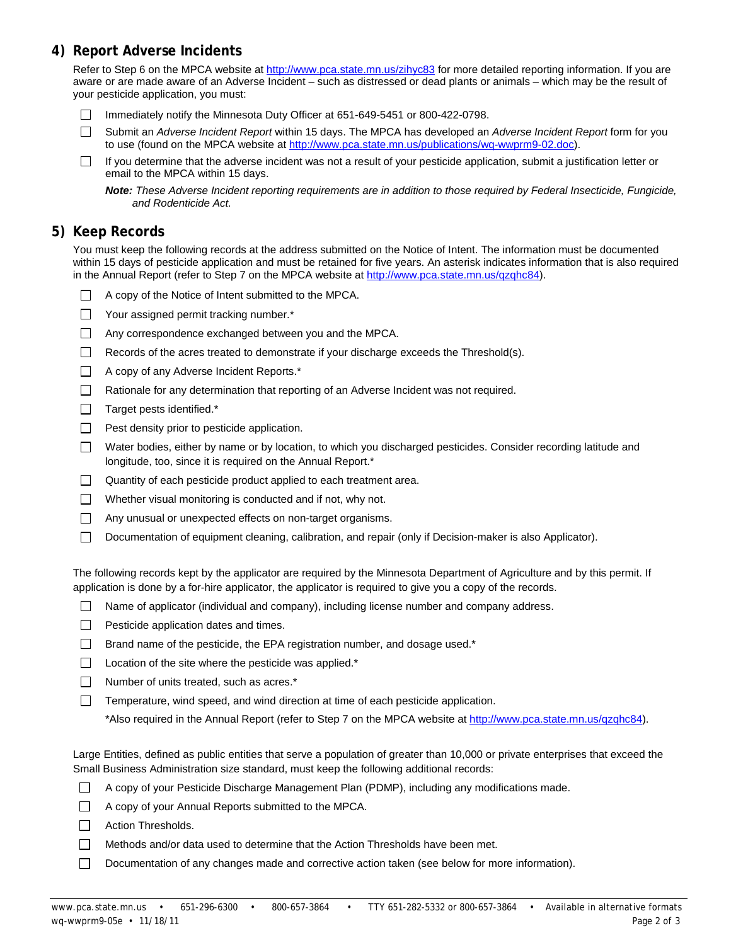# **4) Report Adverse Incidents**

Refer to Step 6 on the MPCA website at<http://www.pca.state.mn.us/zihyc83> for more detailed reporting information. If you are aware or are made aware of an Adverse Incident – such as distressed or dead plants or animals – which may be the result of your pesticide application, you must:

- Immediately notify the Minnesota Duty Officer at 651-649-5451 or 800-422-0798.  $\Box$
- $\Box$ Submit an *Adverse Incident Report* within 15 days. The MPCA has developed an *Adverse Incident Report* form for you to use (found on the MPCA website at [http://www.pca.state.mn.us/publications/wq-wwprm9-02.doc\)](http://www.pca.state.mn.us/publications/wq-wwprm9-02.doc).
- If you determine that the adverse incident was not a result of your pesticide application, submit a justification letter or  $\Box$ email to the MPCA within 15 days.

*Note: These Adverse Incident reporting requirements are in addition to those required by Federal Insecticide, Fungicide, and Rodenticide Act.*

#### **5) Keep Records**

You must keep the following records at the address submitted on the Notice of Intent. The information must be documented within 15 days of pesticide application and must be retained for five years. An asterisk indicates information that is also required in the Annual Report (refer to Step 7 on the MPCA website at [http://www.pca.state.mn.us/qzqhc84\)](http://www.pca.state.mn.us/qzqhc84).

- $\Box$  A copy of the Notice of Intent submitted to the MPCA.
- $\Box$ Your assigned permit tracking number.\*
- $\Box$ Any correspondence exchanged between you and the MPCA.
- П. Records of the acres treated to demonstrate if your discharge exceeds the Threshold(s).
- $\Box$ A copy of any Adverse Incident Reports.\*
- П. Rationale for any determination that reporting of an Adverse Incident was not required.
- $\Box$ Target pests identified.\*
- $\Box$ Pest density prior to pesticide application.
- $\Box$ Water bodies, either by name or by location, to which you discharged pesticides. Consider recording latitude and longitude, too, since it is required on the Annual Report.\*
- $\Box$ Quantity of each pesticide product applied to each treatment area.
- $\Box$ Whether visual monitoring is conducted and if not, why not.
- $\Box$ Any unusual or unexpected effects on non-target organisms.
- $\Box$ Documentation of equipment cleaning, calibration, and repair (only if Decision-maker is also Applicator).

The following records kept by the applicator are required by the Minnesota Department of Agriculture and by this permit. If application is done by a for-hire applicator, the applicator is required to give you a copy of the records.

- $\Box$  Name of applicator (individual and company), including license number and company address.
- $\Box$ Pesticide application dates and times.
- $\Box$  Brand name of the pesticide, the EPA registration number, and dosage used.\*
- Location of the site where the pesticide was applied.\*  $\Box$
- $\Box$  Number of units treated, such as acres. $*$
- $\Box$ Temperature, wind speed, and wind direction at time of each pesticide application.
	- \*Also required in the Annual Report (refer to Step 7 on the MPCA website a[t http://www.pca.state.mn.us/qzqhc84\)](http://www.pca.state.mn.us/qzqhc84).

Large Entities, defined as public entities that serve a population of greater than 10,000 or private enterprises that exceed the Small Business Administration size standard, must keep the following additional records:

- $\Box$  A copy of your Pesticide Discharge Management Plan (PDMP), including any modifications made.
- A copy of your Annual Reports submitted to the MPCA.
- $\Box$ Action Thresholds.
- $\Box$ Methods and/or data used to determine that the Action Thresholds have been met.
- П. Documentation of any changes made and corrective action taken (see below for more information).